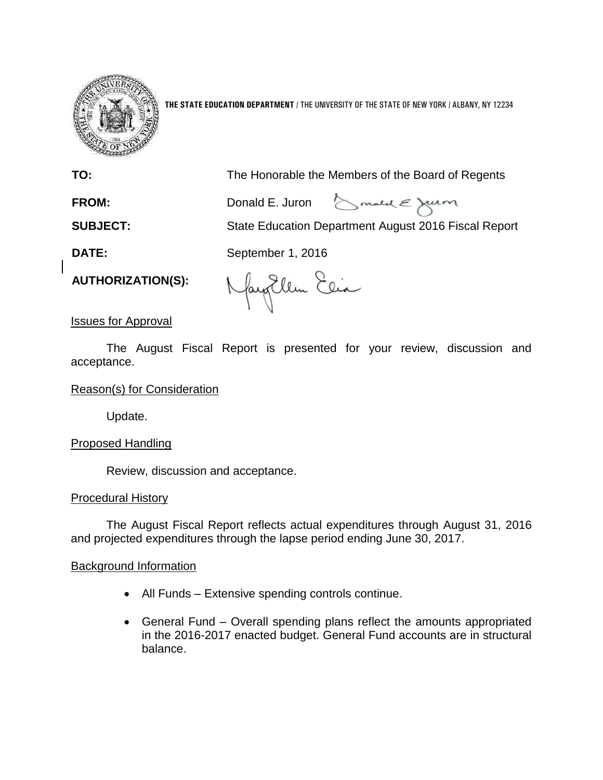

**THE STATE EDUCATION DEPARTMENT** / THE UNIVERSITY OF THE STATE OF NEW YORK / ALBANY, NY 12234

**TO:** The Honorable the Members of the Board of Regents

Smald & Julion FROM: Donald E. Juron

**SUBJECT:** State Education Department August 2016 Fiscal Report

**DATE:** September 1, 2016

**AUTHORIZATION(S):**

Nayorlem Elia

Issues for Approval

The August Fiscal Report is presented for your review, discussion and acceptance.

## Reason(s) for Consideration

Update.

# Proposed Handling

Review, discussion and acceptance.

## Procedural History

The August Fiscal Report reflects actual expenditures through August 31, 2016 and projected expenditures through the lapse period ending June 30, 2017.

## Background Information

- All Funds Extensive spending controls continue.
- General Fund Overall spending plans reflect the amounts appropriated in the 2016-2017 enacted budget. General Fund accounts are in structural balance.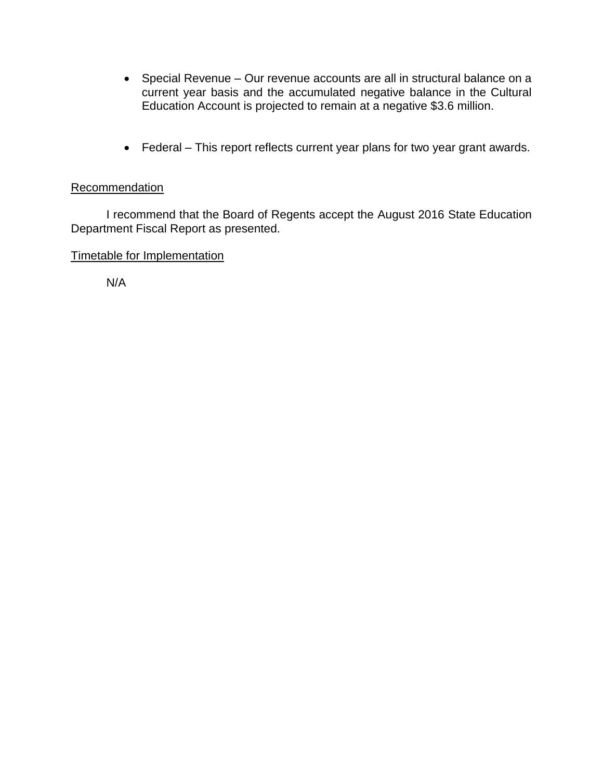- Special Revenue Our revenue accounts are all in structural balance on a current year basis and the accumulated negative balance in the Cultural Education Account is projected to remain at a negative \$3.6 million.
- Federal This report reflects current year plans for two year grant awards.

## Recommendation

I recommend that the Board of Regents accept the August 2016 State Education Department Fiscal Report as presented.

# Timetable for Implementation

N/A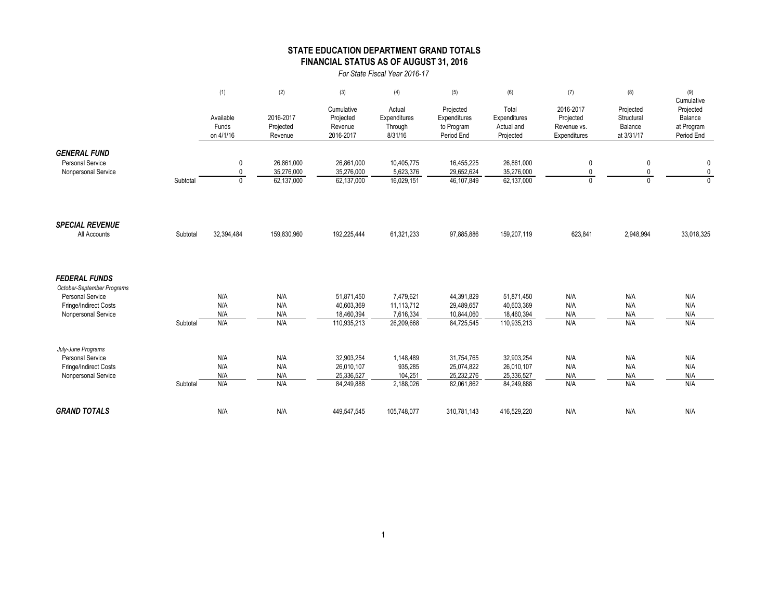### **STATE EDUCATION DEPARTMENT GRAND TOTALS FINANCIAL STATUS AS OF AUGUST 31, 2016**

*For State Fiscal Year 2016-17*

|                                                                                                                               |          | (1)                               | (2)                                    | (3)                                                   | (4)                                                | (5)                                                   | (6)                                                   | (7)                                                   | (8)                                              | (9)                                                            |
|-------------------------------------------------------------------------------------------------------------------------------|----------|-----------------------------------|----------------------------------------|-------------------------------------------------------|----------------------------------------------------|-------------------------------------------------------|-------------------------------------------------------|-------------------------------------------------------|--------------------------------------------------|----------------------------------------------------------------|
|                                                                                                                               |          | Available<br>Funds<br>on 4/1/16   | 2016-2017<br>Projected<br>Revenue      | Cumulative<br>Projected<br>Revenue<br>2016-2017       | Actual<br>Expenditures<br>Through<br>8/31/16       | Projected<br>Expenditures<br>to Program<br>Period End | Total<br>Expenditures<br>Actual and<br>Projected      | 2016-2017<br>Projected<br>Revenue vs.<br>Expenditures | Projected<br>Structural<br>Balance<br>at 3/31/17 | Cumulative<br>Projected<br>Balance<br>at Program<br>Period End |
| <b>GENERAL FUND</b><br>Personal Service<br>Nonpersonal Service                                                                | Subtotal | 0<br>$\mathbf{0}$<br>$\mathbf{0}$ | 26,861,000<br>35,276,000<br>62,137,000 | 26,861,000<br>35,276,000<br>62,137,000                | 10,405,775<br>5,623,376<br>16,029,151              | 16,455,225<br>29,652,624<br>46.107.849                | 26,861,000<br>35,276,000<br>62,137,000                | 0<br>0<br>$\Omega$                                    | 0<br>0<br>$\Omega$                               | 0<br>$\pmb{0}$<br>$\Omega$                                     |
| <b>SPECIAL REVENUE</b><br>All Accounts                                                                                        | Subtotal | 32,394,484                        | 159,830,960                            | 192,225,444                                           | 61,321,233                                         | 97,885,886                                            | 159,207,119                                           | 623,841                                               | 2,948,994                                        | 33,018,325                                                     |
| <b>FEDERAL FUNDS</b><br>October-September Programs<br><b>Personal Service</b><br>Fringe/Indirect Costs<br>Nonpersonal Service | Subtotal | N/A<br>N/A<br>N/A<br>N/A          | N/A<br>N/A<br>N/A<br>N/A               | 51.871.450<br>40,603,369<br>18,460,394<br>110,935,213 | 7.479.621<br>11,113,712<br>7,616,334<br>26,209,668 | 44.391.829<br>29,489,657<br>10,844,060<br>84,725,545  | 51,871,450<br>40,603,369<br>18,460,394<br>110,935,213 | N/A<br>N/A<br>N/A<br>N/A                              | N/A<br>N/A<br>N/A<br>N/A                         | N/A<br>N/A<br>N/A<br>N/A                                       |
| July-June Programs<br><b>Personal Service</b><br>Fringe/Indirect Costs<br>Nonpersonal Service                                 | Subtotal | N/A<br>N/A<br>N/A<br>N/A          | N/A<br>N/A<br>N/A<br>N/A               | 32,903,254<br>26,010,107<br>25,336,527<br>84,249,888  | 1,148,489<br>935,285<br>104,251<br>2,188,026       | 31,754,765<br>25,074,822<br>25,232,276<br>82,061,862  | 32,903,254<br>26,010,107<br>25,336,527<br>84,249,888  | N/A<br>N/A<br>N/A<br>N/A                              | N/A<br>N/A<br>N/A<br>N/A                         | N/A<br>N/A<br>N/A<br>N/A                                       |
| <b>GRAND TOTALS</b>                                                                                                           |          | N/A                               | N/A                                    | 449,547,545                                           | 105,748,077                                        | 310,781,143                                           | 416,529,220                                           | N/A                                                   | N/A                                              | N/A                                                            |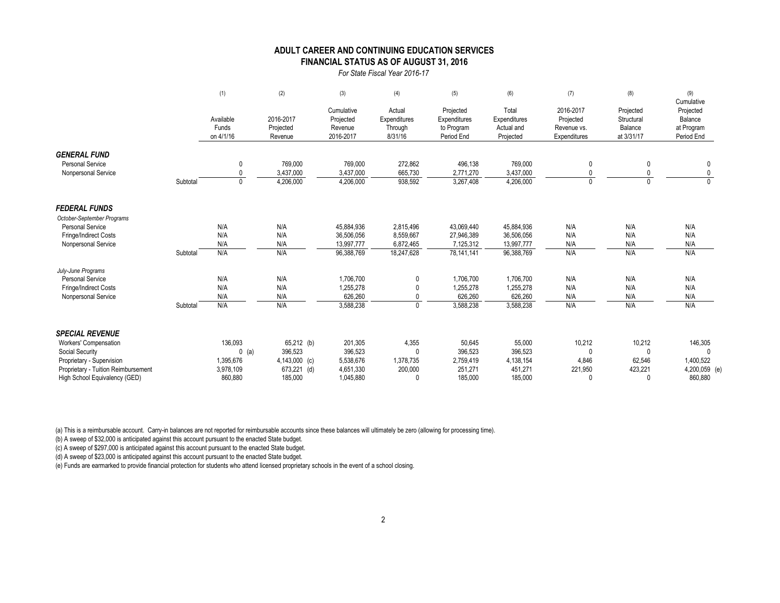#### **FINANCIAL STATUS AS OF AUGUST 31, 2016 ADULT CAREER AND CONTINUING EDUCATION SERVICES**

*For State Fiscal Year 2016-17*

|                                     |          | (1)                             | (2)                               | (3)                                             | (4)                                          | (5)                                                   | (6)                                              | (7)                                                   | (8)                                              | (9)<br>Cumulative                                |
|-------------------------------------|----------|---------------------------------|-----------------------------------|-------------------------------------------------|----------------------------------------------|-------------------------------------------------------|--------------------------------------------------|-------------------------------------------------------|--------------------------------------------------|--------------------------------------------------|
|                                     |          | Available<br>Funds<br>on 4/1/16 | 2016-2017<br>Projected<br>Revenue | Cumulative<br>Projected<br>Revenue<br>2016-2017 | Actual<br>Expenditures<br>Through<br>8/31/16 | Projected<br>Expenditures<br>to Program<br>Period End | Total<br>Expenditures<br>Actual and<br>Projected | 2016-2017<br>Projected<br>Revenue vs.<br>Expenditures | Projected<br>Structural<br>Balance<br>at 3/31/17 | Projected<br>Balance<br>at Program<br>Period End |
| <b>GENERAL FUND</b>                 |          |                                 |                                   |                                                 |                                              |                                                       |                                                  |                                                       |                                                  |                                                  |
| <b>Personal Service</b>             |          | $\mathbf{0}$                    | 769,000                           | 769,000                                         | 272,862                                      | 496,138                                               | 769,000                                          | 0                                                     |                                                  |                                                  |
| Nonpersonal Service                 |          | $\Omega$                        | 3,437,000                         | 3,437,000                                       | 665,730                                      | 2,771,270                                             | 3,437,000                                        | $\mathbf{0}$                                          |                                                  |                                                  |
|                                     | Subtotal | $\mathbf{0}$                    | 4,206,000                         | 4,206,000                                       | 938,592                                      | 3,267,408                                             | 4,206,000                                        | $\mathbf{0}$                                          |                                                  |                                                  |
| <b>FEDERAL FUNDS</b>                |          |                                 |                                   |                                                 |                                              |                                                       |                                                  |                                                       |                                                  |                                                  |
| October-September Programs          |          |                                 |                                   |                                                 |                                              |                                                       |                                                  |                                                       |                                                  |                                                  |
| <b>Personal Service</b>             |          | N/A                             | N/A                               | 45,884,936                                      | 2,815,496                                    | 43,069,440                                            | 45,884,936                                       | N/A                                                   | N/A                                              | N/A                                              |
| Fringe/Indirect Costs               |          | N/A                             | N/A                               | 36,506,056                                      | 8,559,667                                    | 27,946,389                                            | 36,506,056                                       | N/A                                                   | N/A                                              | N/A                                              |
| Nonpersonal Service                 |          | N/A                             | N/A                               | 13,997,777                                      | 6,872,465                                    | 7,125,312                                             | 13,997,777                                       | N/A                                                   | N/A                                              | N/A                                              |
|                                     | Subtotal | N/A                             | N/A                               | 96,388,769                                      | 18,247,628                                   | 78,141,141                                            | 96,388,769                                       | N/A                                                   | N/A                                              | N/A                                              |
| July-June Programs                  |          |                                 |                                   |                                                 |                                              |                                                       |                                                  |                                                       |                                                  |                                                  |
| <b>Personal Service</b>             |          | N/A                             | N/A                               | 1,706,700                                       | 0                                            | 1,706,700                                             | 1,706,700                                        | N/A                                                   | N/A                                              | N/A                                              |
| Fringe/Indirect Costs               |          | N/A                             | N/A                               | 1,255,278                                       |                                              | 1,255,278                                             | 1,255,278                                        | N/A                                                   | N/A                                              | N/A                                              |
| Nonpersonal Service                 |          | N/A                             | N/A                               | 626,260                                         |                                              | 626,260                                               | 626,260                                          | N/A                                                   | N/A                                              | N/A                                              |
|                                     | Subtotal | N/A                             | N/A                               | 3,588,238                                       | $\mathbf{0}$                                 | 3,588,238                                             | 3,588,238                                        | N/A                                                   | N/A                                              | N/A                                              |
| <b>SPECIAL REVENUE</b>              |          |                                 |                                   |                                                 |                                              |                                                       |                                                  |                                                       |                                                  |                                                  |
| Workers' Compensation               |          | 136,093                         | 65,212 (b)                        | 201,305                                         | 4,355                                        | 50,645                                                | 55,000                                           | 10,212                                                | 10,212                                           | 146,305                                          |
| Social Security                     |          | $0$ (a)                         | 396,523                           | 396,523                                         | 0                                            | 396,523                                               | 396,523                                          | $\Omega$                                              | $\Omega$                                         |                                                  |
| Proprietary - Supervision           |          | 1,395,676                       | 4,143,000 (c)                     | 5,538,676                                       | 1,378,735                                    | 2,759,419                                             | 4,138,154                                        | 4,846                                                 | 62,546                                           | 1,400,522                                        |
| Proprietary - Tuition Reimbursement |          | 3,978,109                       | 673,221 (d)                       | 4,651,330                                       | 200,000                                      | 251,271                                               | 451,271                                          | 221,950                                               | 423,221                                          | 4,200,059 (e)                                    |
| High School Equivalency (GED)       |          | 860,880                         | 185,000                           | 1,045,880                                       |                                              | 185.000                                               | 185.000                                          | $\Omega$                                              | $\cup$                                           | 860,880                                          |

(a) This is a reimbursable account. Carry-in balances are not reported for reimbursable accounts since these balances will ultimately be zero (allowing for processing time).

(b) A sweep of \$32,000 is anticipated against this account pursuant to the enacted State budget.

(c) A sweep of \$297,000 is anticipated against this account pursuant to the enacted State budget.

(d) A sweep of \$23,000 is anticipated against this account pursuant to the enacted State budget.

(e) Funds are earmarked to provide financial protection for students who attend licensed proprietary schools in the event of a school closing.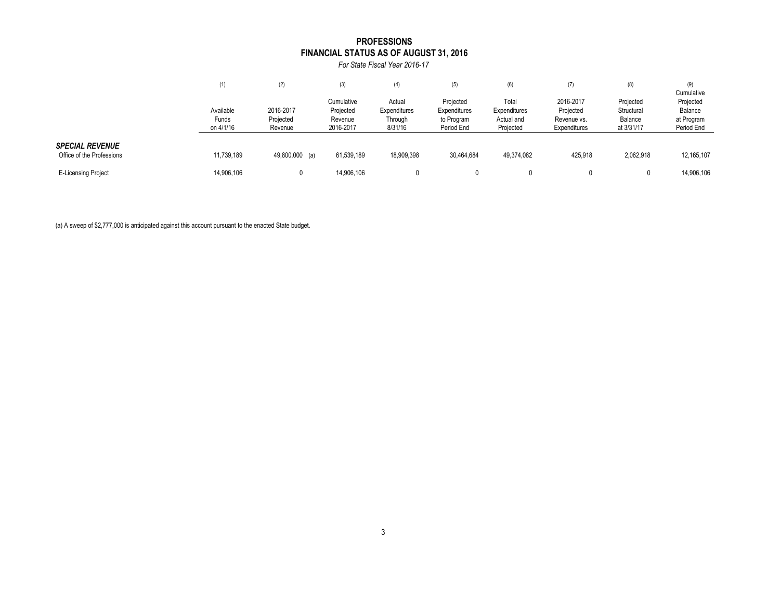### **FINANCIAL STATUS AS OF AUGUST 31, 2016 PROFESSIONS**

*For State Fiscal Year 2016-17*

|                                                     | (1)                | (2)                  | (3)                     | (4)                    | (5)                                                   | (6)                                              |                             | (8)                                              | (9)<br>Cumulative        |
|-----------------------------------------------------|--------------------|----------------------|-------------------------|------------------------|-------------------------------------------------------|--------------------------------------------------|-----------------------------|--------------------------------------------------|--------------------------|
|                                                     | Available          | 2016-2017            | Cumulative<br>Projected | Actual<br>Expenditures | Projected<br>Expenditures<br>to Program<br>Period End | Total<br>Expenditures<br>Actual and<br>Projected | 2016-2017<br>Projected      | Projected<br>Structural<br>Balance<br>at 3/31/17 | Projected<br>Balance     |
|                                                     | Funds<br>on 4/1/16 | Projected<br>Revenue | Revenue<br>2016-2017    | Through<br>8/31/16     |                                                       |                                                  | Revenue vs.<br>Expenditures |                                                  | at Program<br>Period End |
| <b>SPECIAL REVENUE</b><br>Office of the Professions | 11,739,189         | 49,800,000 (a)       | 61,539,189              | 18,909,398             | 30,464,684                                            | 49,374,082                                       | 425,918                     | 2,062,918                                        | 12, 165, 107             |
| <b>E-Licensing Project</b>                          | 14,906,106         |                      | 14,906,106              | $\mathbf{0}$           |                                                       |                                                  |                             |                                                  | 14,906,106               |

(a) A sweep of \$2,777,000 is anticipated against this account pursuant to the enacted State budget.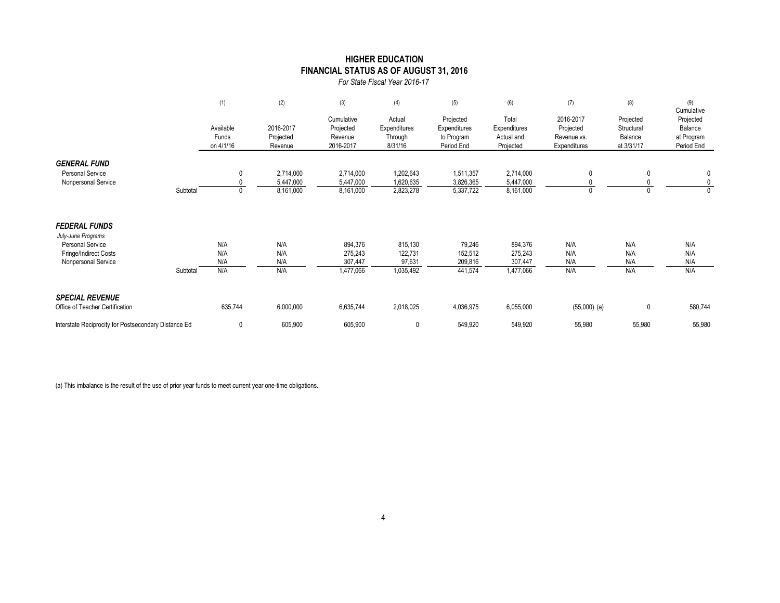### **HIGHER EDUCATION FINANCIAL STATUS AS OF AUGUST 31, 2016**

*For State Fiscal Year 2016-17*

|                                                                                                                       |          | (1)                             | (2)                                 | (3)                                             | (4)                                          | (5)                                                   | (6)                                              | (7)                                                   | (8)                                              | (9)<br>Cumulative                                |
|-----------------------------------------------------------------------------------------------------------------------|----------|---------------------------------|-------------------------------------|-------------------------------------------------|----------------------------------------------|-------------------------------------------------------|--------------------------------------------------|-------------------------------------------------------|--------------------------------------------------|--------------------------------------------------|
|                                                                                                                       |          | Available<br>Funds<br>on 4/1/16 | 2016-2017<br>Projected<br>Revenue   | Cumulative<br>Projected<br>Revenue<br>2016-2017 | Actual<br>Expenditures<br>Through<br>8/31/16 | Projected<br>Expenditures<br>to Program<br>Period End | Total<br>Expenditures<br>Actual and<br>Projected | 2016-2017<br>Projected<br>Revenue vs.<br>Expenditures | Projected<br>Structural<br>Balance<br>at 3/31/17 | Projected<br>Balance<br>at Program<br>Period End |
| <b>GENERAL FUND</b><br><b>Personal Service</b><br>Nonpersonal Service                                                 | Subtotal | 0                               | 2,714,000<br>5,447,000<br>8,161,000 | 2,714,000<br>5,447,000<br>8,161,000             | 1,202,643<br>1,620,635<br>2,823,278          | 1,511,357<br>3,826,365<br>5,337,722                   | 2,714,000<br>5,447,000<br>8,161,000              | 0<br>0                                                |                                                  | 0<br>$\mathbf{0}$<br>$\mathbf{0}$                |
| <b>FEDERAL FUNDS</b><br>July-June Programs<br><b>Personal Service</b><br>Fringe/Indirect Costs<br>Nonpersonal Service | Subtotal | N/A<br>N/A<br>N/A<br>N/A        | N/A<br>N/A<br>N/A<br>N/A            | 894,376<br>275,243<br>307,447<br>1,477,066      | 815,130<br>122,731<br>97,631<br>1,035,492    | 79,246<br>152,512<br>209,816<br>441,574               | 894,376<br>275,243<br>307,447<br>1,477,066       | N/A<br>N/A<br>N/A<br>N/A                              | N/A<br>N/A<br>N/A<br>N/A                         | N/A<br>N/A<br>N/A<br>N/A                         |
| <b>SPECIAL REVENUE</b><br>Office of Teacher Certification                                                             |          | 635,744                         | 6,000,000                           | 6,635,744                                       | 2,018,025                                    | 4,036,975                                             | 6,055,000                                        | $(55,000)$ (a)                                        | 0                                                | 580,744                                          |
| Interstate Reciprocity for Postsecondary Distance Ed                                                                  |          | 0                               | 605,900                             | 605,900                                         | $\mathbf{0}$                                 | 549,920                                               | 549,920                                          | 55,980                                                | 55,980                                           | 55,980                                           |

(a) This imbalance is the result of the use of prior year funds to meet current year one-time obligations.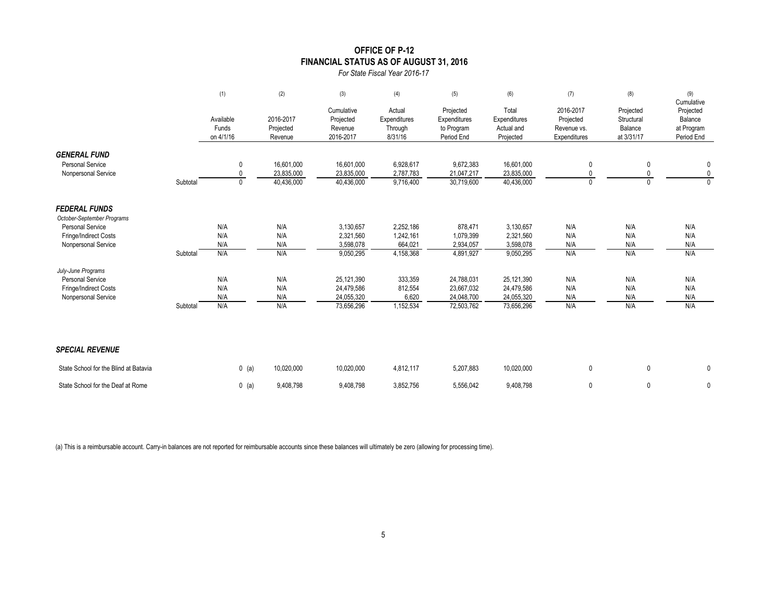### **OFFICE OF P-12 FINANCIAL STATUS AS OF AUGUST 31, 2016**

*For State Fiscal Year 2016-17*

|                                                    |          | (1)                             | (2)                               | (3)                                             | (4)                                          | (5)                                                   | (6)                                              | (7)                                                   | (8)                                              | (9)<br>Cumulative                                |
|----------------------------------------------------|----------|---------------------------------|-----------------------------------|-------------------------------------------------|----------------------------------------------|-------------------------------------------------------|--------------------------------------------------|-------------------------------------------------------|--------------------------------------------------|--------------------------------------------------|
|                                                    |          | Available<br>Funds<br>on 4/1/16 | 2016-2017<br>Projected<br>Revenue | Cumulative<br>Projected<br>Revenue<br>2016-2017 | Actual<br>Expenditures<br>Through<br>8/31/16 | Projected<br>Expenditures<br>to Program<br>Period End | Total<br>Expenditures<br>Actual and<br>Projected | 2016-2017<br>Projected<br>Revenue vs.<br>Expenditures | Projected<br>Structural<br>Balance<br>at 3/31/17 | Projected<br>Balance<br>at Program<br>Period End |
| <b>GENERAL FUND</b>                                |          |                                 |                                   |                                                 |                                              |                                                       |                                                  |                                                       |                                                  |                                                  |
| <b>Personal Service</b><br>Nonpersonal Service     |          | 0<br>0                          | 16.601.000<br>23,835,000          | 16,601,000<br>23,835,000                        | 6,928,617<br>2,787,783                       | 9,672,383<br>21,047,217                               | 16,601,000<br>23,835,000                         | 0<br>0                                                | 0                                                | $\mathbf 0$<br>$\mathbf 0$                       |
|                                                    | Subtotal | $\mathbf{0}$                    | 40,436,000                        | 40,436,000                                      | 9,716,400                                    | 30,719,600                                            | 40,436,000                                       | $\mathbf{0}$                                          |                                                  | $\Omega$                                         |
| <b>FEDERAL FUNDS</b><br>October-September Programs |          |                                 |                                   |                                                 |                                              |                                                       |                                                  |                                                       |                                                  |                                                  |
| <b>Personal Service</b>                            |          | N/A                             | N/A                               | 3,130,657                                       | 2,252,186                                    | 878,471                                               | 3,130,657                                        | N/A                                                   | N/A                                              | N/A                                              |
| Fringe/Indirect Costs                              |          | N/A                             | N/A                               | 2,321,560                                       | 1,242,161                                    | 1,079,399                                             | 2,321,560                                        | N/A                                                   | N/A                                              | N/A                                              |
| Nonpersonal Service                                |          | N/A                             | N/A                               | 3,598,078                                       | 664,021                                      | 2,934,057                                             | 3,598,078                                        | N/A                                                   | N/A                                              | N/A                                              |
|                                                    | Subtotal | N/A                             | N/A                               | 9,050,295                                       | 4,158,368                                    | 4,891,927                                             | 9,050,295                                        | N/A                                                   | N/A                                              | N/A                                              |
| July-June Programs                                 |          |                                 |                                   |                                                 |                                              |                                                       |                                                  |                                                       |                                                  |                                                  |
| <b>Personal Service</b><br>Fringe/Indirect Costs   |          | N/A<br>N/A                      | N/A<br>N/A                        | 25,121,390<br>24,479,586                        | 333,359<br>812,554                           | 24,788,031<br>23.667.032                              | 25,121,390<br>24,479,586                         | N/A<br>N/A                                            | N/A<br>N/A                                       | N/A<br>N/A                                       |
| Nonpersonal Service                                |          | N/A                             | N/A                               | 24,055,320                                      | 6,620                                        | 24,048,700                                            | 24,055,320                                       | N/A                                                   | N/A                                              | N/A                                              |
|                                                    | Subtotal | N/A                             | N/A                               | 73,656,296                                      | 1,152,534                                    | 72,503,762                                            | 73,656,296                                       | N/A                                                   | N/A                                              | N/A                                              |
| <b>SPECIAL REVENUE</b>                             |          |                                 |                                   |                                                 |                                              |                                                       |                                                  |                                                       |                                                  |                                                  |
| State School for the Blind at Batavia              |          | $0$ (a)                         | 10,020,000                        | 10,020,000                                      | 4,812,117                                    | 5,207,883                                             | 10,020,000                                       | 0                                                     | $\mathbf 0$                                      | $\mathbf 0$                                      |
| State School for the Deaf at Rome                  |          | $0$ (a)                         | 9,408,798                         | 9,408,798                                       | 3.852.756                                    | 5.556.042                                             | 9.408.798                                        | 0                                                     | 0                                                | $\mathbf 0$                                      |

(a) This is a reimbursable account. Carry-in balances are not reported for reimbursable accounts since these balances will ultimately be zero (allowing for processing time).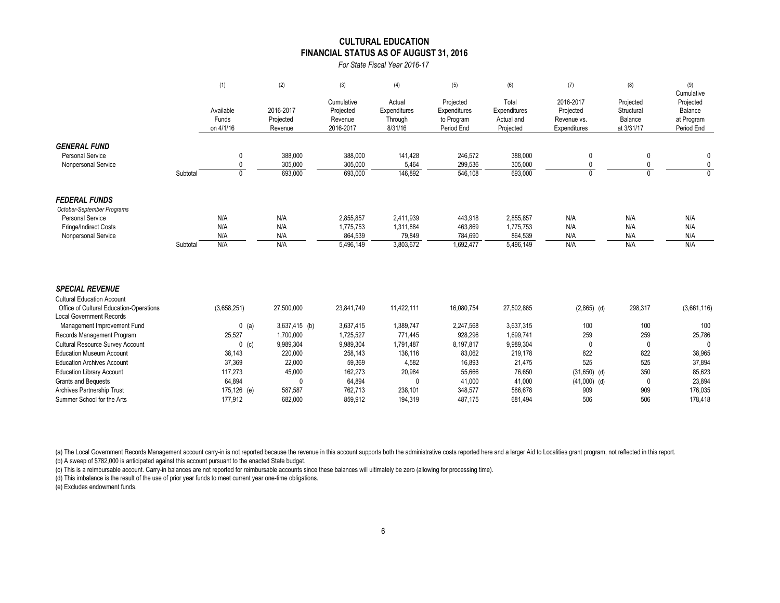#### **FINANCIAL STATUS AS OF AUGUST 31, 2016 CULTURAL EDUCATION**

*For State Fiscal Year 2016-17*

|                                                |          | (1)                             | (2)                               | (3)                                             | (4)                                          | (5)                                                   | (6)                                              | (7)                                                   | (8)                                              | (9)<br>Cumulative                                |
|------------------------------------------------|----------|---------------------------------|-----------------------------------|-------------------------------------------------|----------------------------------------------|-------------------------------------------------------|--------------------------------------------------|-------------------------------------------------------|--------------------------------------------------|--------------------------------------------------|
|                                                |          | Available<br>Funds<br>on 4/1/16 | 2016-2017<br>Projected<br>Revenue | Cumulative<br>Projected<br>Revenue<br>2016-2017 | Actual<br>Expenditures<br>Through<br>8/31/16 | Projected<br>Expenditures<br>to Program<br>Period End | Total<br>Expenditures<br>Actual and<br>Projected | 2016-2017<br>Projected<br>Revenue vs.<br>Expenditures | Projected<br>Structural<br>Balance<br>at 3/31/17 | Projected<br>Balance<br>at Program<br>Period End |
|                                                |          |                                 |                                   |                                                 |                                              |                                                       |                                                  |                                                       |                                                  |                                                  |
| <b>GENERAL FUND</b><br><b>Personal Service</b> |          | 0                               | 388,000                           | 388,000                                         | 141,428                                      | 246,572                                               | 388,000                                          | 0                                                     |                                                  |                                                  |
| Nonpersonal Service                            | Subtotal | $\mathbf{0}$<br>$\mathbf{0}$    | 305,000<br>693,000                | 305,000<br>693,000                              | 5,464<br>146,892                             | 299,536<br>546,108                                    | 305,000<br>693,000                               |                                                       |                                                  | $\mathbf{0}$<br>$\Omega$                         |
| <b>FEDERAL FUNDS</b>                           |          |                                 |                                   |                                                 |                                              |                                                       |                                                  |                                                       |                                                  |                                                  |
| October-September Programs                     |          |                                 |                                   |                                                 |                                              |                                                       |                                                  |                                                       |                                                  |                                                  |
| <b>Personal Service</b>                        |          | N/A                             | N/A                               | 2,855,857                                       | 2,411,939                                    | 443,918                                               | 2,855,857                                        | N/A                                                   | N/A                                              | N/A                                              |
| Fringe/Indirect Costs                          |          | N/A                             | N/A                               | 1,775,753                                       | 1,311,884                                    | 463,869                                               | 1,775,753                                        | N/A                                                   | N/A                                              | N/A                                              |
| Nonpersonal Service                            |          | N/A                             | N/A                               | 864,539                                         | 79,849                                       | 784,690                                               | 864,539                                          | N/A                                                   | N/A                                              | N/A                                              |
|                                                | Subtotal | N/A                             | N/A                               | 5,496,149                                       | 3,803,672                                    | 1,692,477                                             | 5,496,149                                        | N/A                                                   | N/A                                              | N/A                                              |
| <b>SPECIAL REVENUE</b>                         |          |                                 |                                   |                                                 |                                              |                                                       |                                                  |                                                       |                                                  |                                                  |
| <b>Cultural Education Account</b>              |          |                                 |                                   |                                                 |                                              |                                                       |                                                  |                                                       |                                                  |                                                  |
| Office of Cultural Education-Operations        |          | (3,658,251)                     | 27,500,000                        | 23,841,749                                      | 11,422,111                                   | 16,080,754                                            | 27,502,865                                       | $(2,865)$ (d)                                         | 298,317                                          | (3,661,116)                                      |
| <b>Local Government Records</b>                |          |                                 |                                   |                                                 |                                              |                                                       |                                                  |                                                       |                                                  |                                                  |
| Management Improvement Fund                    |          | $0$ (a)                         | $3,637,415$ (b)                   | 3,637,415                                       | 1,389,747                                    | 2,247,568                                             | 3,637,315                                        | 100                                                   | 100                                              | 100                                              |
| Records Management Program                     |          | 25,527                          | 1,700,000                         | 1,725,527                                       | 771,445                                      | 928,296                                               | 1,699,741                                        | 259                                                   | 259                                              | 25,786                                           |
| <b>Cultural Resource Survey Account</b>        |          | $0$ (c)                         | 9,989,304                         | 9,989,304                                       | 1,791,487                                    | 8,197,817                                             | 9,989,304                                        | $\mathbf{0}$                                          | $\mathbf{0}$                                     | $\Omega$                                         |
| <b>Education Museum Account</b>                |          | 38,143                          | 220,000                           | 258,143                                         | 136,116                                      | 83,062                                                | 219,178                                          | 822                                                   | 822                                              | 38,965                                           |
| <b>Education Archives Account</b>              |          | 37,369                          | 22,000                            | 59,369                                          | 4,582                                        | 16,893                                                | 21,475                                           | 525                                                   | 525                                              | 37,894                                           |
| <b>Education Library Account</b>               |          | 117,273                         | 45,000                            | 162,273                                         | 20,984                                       | 55,666                                                | 76,650                                           | $(31,650)$ (d)                                        | 350                                              | 85,623                                           |
| <b>Grants and Bequests</b>                     |          | 64.894                          | $\Omega$                          | 64.894                                          | 0                                            | 41.000                                                | 41,000                                           | $(41,000)$ (d)                                        | 0                                                | 23,894                                           |

(a) The Local Government Records Management account carry-in is not reported because the revenue in this account supports both the administrative costs reported here and a larger Aid to Localities grant program, not reflec (b) A sweep of \$782,000 is anticipated against this account pursuant to the enacted State budget.

(c) This is a reimbursable account. Carry-in balances are not reported for reimbursable accounts since these balances will ultimately be zero (allowing for processing time).

(d) This imbalance is the result of the use of prior year funds to meet current year one-time obligations.

(e) Excludes endowment funds.

Archives Partnership Trust 175,126 (e) 587,587 762,713 238,101 348,577 586,678 909 909 909 176,035 Summer School for the Arts 177,912 682,000 859,912 194,319 487,175 681,494 506 506 506 178,418